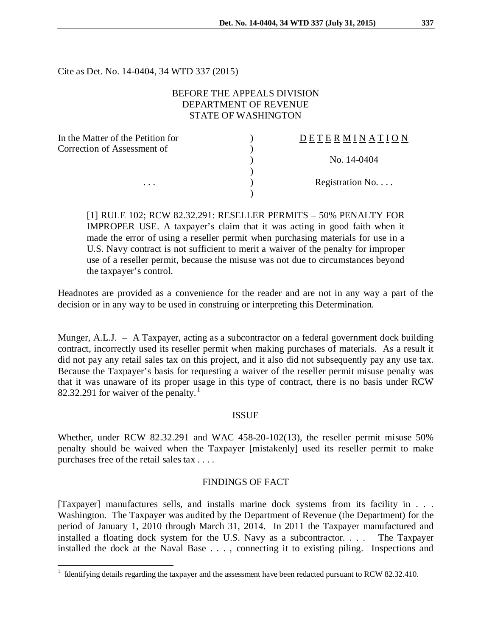Cite as Det. No. 14-0404, 34 WTD 337 (2015)

# BEFORE THE APPEALS DIVISION DEPARTMENT OF REVENUE STATE OF WASHINGTON

| In the Matter of the Petition for | <b>DETERMINATION</b> |
|-----------------------------------|----------------------|
| Correction of Assessment of       |                      |
|                                   | No. 14-0404          |
|                                   |                      |
| .                                 | Registration No.     |
|                                   |                      |

[1] RULE 102; RCW 82.32.291: RESELLER PERMITS – 50% PENALTY FOR IMPROPER USE. A taxpayer's claim that it was acting in good faith when it made the error of using a reseller permit when purchasing materials for use in a U.S. Navy contract is not sufficient to merit a waiver of the penalty for improper use of a reseller permit, because the misuse was not due to circumstances beyond the taxpayer's control.

Headnotes are provided as a convenience for the reader and are not in any way a part of the decision or in any way to be used in construing or interpreting this Determination.

Munger, A.L.J. – A Taxpayer, acting as a subcontractor on a federal government dock building contract, incorrectly used its reseller permit when making purchases of materials. As a result it did not pay any retail sales tax on this project, and it also did not subsequently pay any use tax. Because the Taxpayer's basis for requesting a waiver of the reseller permit misuse penalty was that it was unaware of its proper usage in this type of contract, there is no basis under RCW 82.32.29[1](#page-0-0) for waiver of the penalty.<sup>1</sup>

#### ISSUE

Whether, under RCW 82.32.291 and WAC 458-20-102(13), the reseller permit misuse 50% penalty should be waived when the Taxpayer [mistakenly] used its reseller permit to make purchases free of the retail sales tax . . . .

#### FINDINGS OF FACT

[Taxpayer] manufactures sells, and installs marine dock systems from its facility in . . . Washington. The Taxpayer was audited by the Department of Revenue (the Department) for the period of January 1, 2010 through March 31, 2014. In 2011 the Taxpayer manufactured and installed a floating dock system for the U.S. Navy as a subcontractor. . . . The Taxpayer installed the dock at the Naval Base . . . , connecting it to existing piling. Inspections and

<span id="page-0-0"></span><sup>&</sup>lt;sup>1</sup> Identifying details regarding the taxpayer and the assessment have been redacted pursuant to RCW 82.32.410.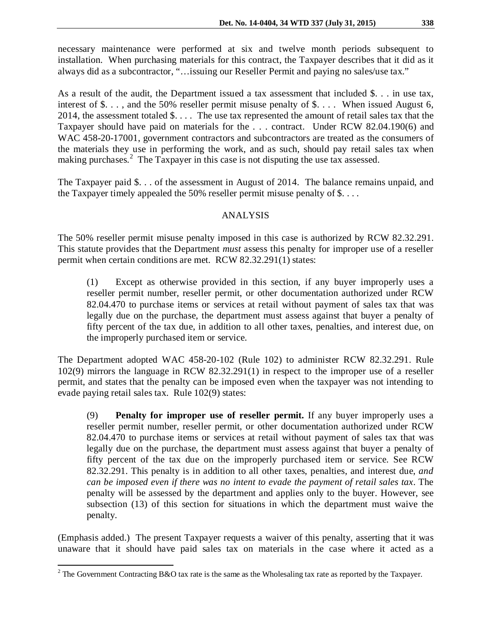necessary maintenance were performed at six and twelve month periods subsequent to installation. When purchasing materials for this contract, the Taxpayer describes that it did as it always did as a subcontractor, "…issuing our Reseller Permit and paying no sales/use tax."

As a result of the audit, the Department issued a tax assessment that included \$. . . in use tax, interest of \$..., and the 50% reseller permit misuse penalty of \$.... When issued August 6, 2014, the assessment totaled \$. . . . The use tax represented the amount of retail sales tax that the Taxpayer should have paid on materials for the . . . contract. Under RCW 82.04.190(6) and WAC 458-20-17001, government contractors and subcontractors are treated as the consumers of the materials they use in performing the work, and as such, should pay retail sales tax when making purchases.<sup>[2](#page-1-0)</sup> The Taxpayer in this case is not disputing the use tax assessed.

The Taxpayer paid \$. . . of the assessment in August of 2014. The balance remains unpaid, and the Taxpayer timely appealed the 50% reseller permit misuse penalty of  $\$\dots$ .

# ANALYSIS

The 50% reseller permit misuse penalty imposed in this case is authorized by RCW 82.32.291. This statute provides that the Department *must* assess this penalty for improper use of a reseller permit when certain conditions are met. RCW 82.32.291(1) states:

(1) Except as otherwise provided in this section, if any buyer improperly uses a reseller permit number, reseller permit, or other documentation authorized under RCW 82.04.470 to purchase items or services at retail without payment of sales tax that was legally due on the purchase, the department must assess against that buyer a penalty of fifty percent of the tax due, in addition to all other taxes, penalties, and interest due, on the improperly purchased item or service.

The Department adopted WAC 458-20-102 (Rule 102) to administer RCW 82.32.291. Rule 102(9) mirrors the language in RCW 82.32.291(1) in respect to the improper use of a reseller permit, and states that the penalty can be imposed even when the taxpayer was not intending to evade paying retail sales tax. Rule 102(9) states:

(9) **Penalty for improper use of reseller permit.** If any buyer improperly uses a reseller permit number, reseller permit, or other documentation authorized under RCW 82.04.470 to purchase items or services at retail without payment of sales tax that was legally due on the purchase, the department must assess against that buyer a penalty of fifty percent of the tax due on the improperly purchased item or service. See RCW 82.32.291. This penalty is in addition to all other taxes, penalties, and interest due, *and can be imposed even if there was no intent to evade the payment of retail sales tax*. The penalty will be assessed by the department and applies only to the buyer. However, see subsection (13) of this section for situations in which the department must waive the penalty.

(Emphasis added.) The present Taxpayer requests a waiver of this penalty, asserting that it was unaware that it should have paid sales tax on materials in the case where it acted as a

<span id="page-1-0"></span><sup>&</sup>lt;sup>2</sup> The Government Contracting B&O tax rate is the same as the Wholesaling tax rate as reported by the Taxpayer.